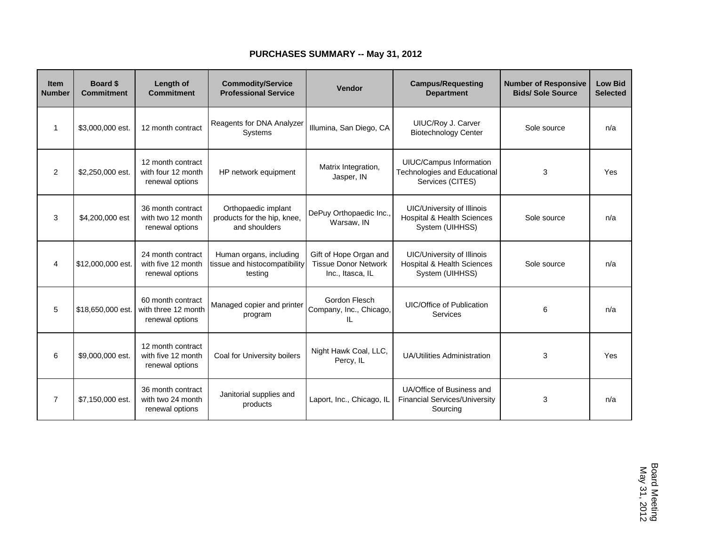## **PURCHASES SUMMARY -- May 31, 2012**

| Item<br><b>Number</b> | <b>Board \$</b><br><b>Commitment</b> | Length of<br><b>Commitment</b>                              | <b>Commodity/Service</b><br><b>Professional Service</b>             | Vendor                                                                    | <b>Campus/Requesting</b><br><b>Department</b>                                                 | <b>Number of Responsive</b><br><b>Bids/ Sole Source</b> | <b>Low Bid</b><br><b>Selected</b> |
|-----------------------|--------------------------------------|-------------------------------------------------------------|---------------------------------------------------------------------|---------------------------------------------------------------------------|-----------------------------------------------------------------------------------------------|---------------------------------------------------------|-----------------------------------|
| -1                    | \$3,000,000 est.                     | 12 month contract                                           | Reagents for DNA Analyzer<br>Systems                                | Illumina, San Diego, CA                                                   | UIUC/Roy J. Carver<br><b>Biotechnology Center</b>                                             | Sole source                                             | n/a                               |
| $\overline{2}$        | \$2,250,000 est.                     | 12 month contract<br>with four 12 month<br>renewal options  | HP network equipment                                                | Matrix Integration,<br>Jasper, IN                                         | <b>UIUC/Campus Information</b><br><b>Technologies and Educational</b><br>Services (CITES)     | 3                                                       | Yes                               |
| 3                     | \$4,200,000 est                      | 36 month contract<br>with two 12 month<br>renewal options   | Orthopaedic implant<br>products for the hip, knee,<br>and shoulders | DePuy Orthopaedic Inc.,<br>Warsaw, IN                                     | <b>UIC/University of Illinois</b><br><b>Hospital &amp; Health Sciences</b><br>System (UIHHSS) | Sole source                                             | n/a                               |
| 4                     | \$12,000,000 est.                    | 24 month contract<br>with five 12 month<br>renewal options  | Human organs, including<br>tissue and histocompatibility<br>testing | Gift of Hope Organ and<br><b>Tissue Donor Network</b><br>Inc., Itasca, IL | <b>UIC/University of Illinois</b><br><b>Hospital &amp; Health Sciences</b><br>System (UIHHSS) | Sole source                                             | n/a                               |
| 5                     | \$18,650,000 est.                    | 60 month contract<br>with three 12 month<br>renewal options | Managed copier and printer<br>program                               | Gordon Flesch<br>Company, Inc., Chicago,<br>IL                            | <b>UIC/Office of Publication</b><br>Services                                                  | 6                                                       | n/a                               |
| 6                     | \$9,000,000 est.                     | 12 month contract<br>with five 12 month<br>renewal options  | Coal for University boilers                                         | Night Hawk Coal, LLC,<br>Percy, IL                                        | <b>UA/Utilities Administration</b>                                                            | 3                                                       | Yes                               |
| $\overline{7}$        | \$7,150,000 est.                     | 36 month contract<br>with two 24 month<br>renewal options   | Janitorial supplies and<br>products                                 | Laport, Inc., Chicago, IL                                                 | UA/Office of Business and<br><b>Financial Services/University</b><br>Sourcing                 | 3                                                       | n/a                               |